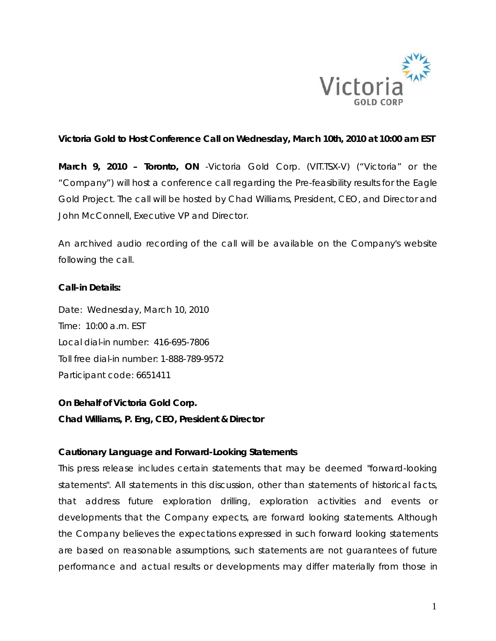

## **Victoria Gold to Host Conference Call on Wednesday, March 10th, 2010 at 10:00 am EST**

**March 9, 2010 – Toronto, ON** -Victoria Gold Corp. (VIT.TSX-V) ("Victoria" or the "Company") will host a conference call regarding the Pre-feasibility results for the Eagle Gold Project. The call will be hosted by Chad Williams, President, CEO, and Director and John McConnell, Executive VP and Director.

An archived audio recording of the call will be available on the Company's website following the call.

## **Call-in Details:**

Date: Wednesday, March 10, 2010 Time: 10:00 a.m. EST Local dial-in number: 416-695-7806 Toll free dial-in number: 1-888-789-9572 Participant code: 6651411

**On Behalf of Victoria Gold Corp.** 

**Chad Williams, P. Eng, CEO, President & Director** 

## *Cautionary Language and Forward-Looking Statements*

*This press release includes certain statements that may be deemed "forward-looking statements". All statements in this discussion, other than statements of historical facts, that address future exploration drilling, exploration activities and events or developments that the Company expects, are forward looking statements. Although the Company believes the expectations expressed in such forward looking statements are based on reasonable assumptions, such statements are not guarantees of future performance and actual results or developments may differ materially from those in*